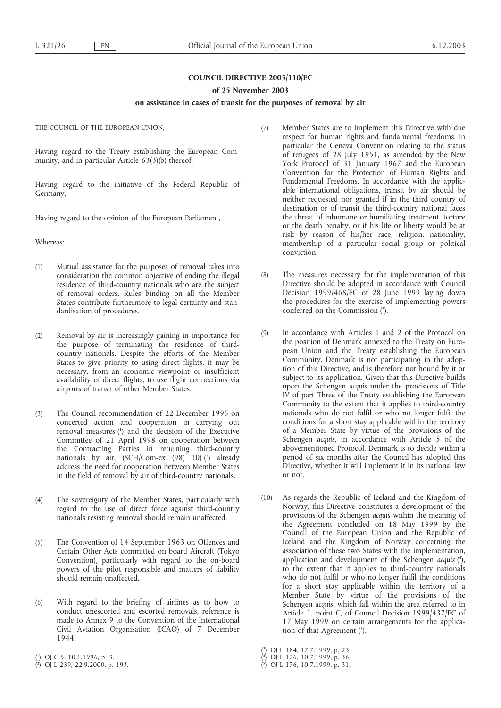# **COUNCIL DIRECTIVE 2003/110/EC**

#### **of 25 November 2003**

#### **on assistance in cases of transit for the purposes of removal by air**

THE COUNCIL OF THE EUROPEAN UNION,

Having regard to the Treaty establishing the European Community, and in particular Article 63(3)(b) thereof,

Having regard to the initiative of the Federal Republic of Germany,

Having regard to the opinion of the European Parliament,

Whereas:

- (1) Mutual assistance for the purposes of removal takes into consideration the common objective of ending the illegal residence of third-country nationals who are the subject of removal orders. Rules binding on all the Member States contribute furthermore to legal certainty and standardisation of procedures.
- (2) Removal by air is increasingly gaining in importance for the purpose of terminating the residence of thirdcountry nationals. Despite the efforts of the Member States to give priority to using direct flights, it may be necessary, from an economic viewpoint or insufficient availability of direct flights, to use flight connections via airports of transit of other Member States.
- (3) The Council recommendation of 22 December 1995 on concerted action and cooperation in carrying out removal measures (1 ) and the decision of the Executive Committee of 21 April 1998 on cooperation between the Contracting Parties in returning third-country nationals by air, (SCH/Com-ex (98) 10) (2 ) already address the need for cooperation between Member States in the field of removal by air of third-country nationals.
- (4) The sovereignty of the Member States, particularly with regard to the use of direct force against third-country nationals resisting removal should remain unaffected.
- (5) The Convention of 14 September 1963 on Offences and Certain Other Acts committed on board Aircraft (Tokyo Convention), particularly with regard to the on-board powers of the pilot responsible and matters of liability should remain unaffected.
- (6) With regard to the briefing of airlines as to how to conduct unescorted and escorted removals, reference is made to Annex 9 to the Convention of the International Civil Aviation Organisation (ICAO) of 7 December 1944.
- (7) Member States are to implement this Directive with due respect for human rights and fundamental freedoms, in particular the Geneva Convention relating to the status of refugees of 28 July 1951, as amended by the New York Protocol of 31 January 1967 and the European Convention for the Protection of Human Rights and Fundamental Freedoms. In accordance with the applicable international obligations, transit by air should be neither requested nor granted if in the third country of destination or of transit the third-country national faces the threat of inhumane or humiliating treatment, torture or the death penalty, or if his life or liberty would be at risk by reason of his/her race, religion, nationality, membership of a particular social group or political conviction.
- (8) The measures necessary for the implementation of this Directive should be adopted in accordance with Council Decision 1999/468/EC of 28 June 1999 laying down the procedures for the exercise of implementing powers conferred on the Commission (3).
- (9) In accordance with Articles 1 and 2 of the Protocol on the position of Denmark annexed to the Treaty on European Union and the Treaty establishing the European Community, Denmark is not participating in the adoption of this Directive, and is therefore not bound by it or subject to its application. Given that this Directive builds upon the Schengen *acquis* under the provisions of Title IV of part Three of the Treaty establishing the European Community to the extent that it applies to third-country nationals who do not fulfil or who no longer fulfil the conditions for a short stay applicable within the territory of a Member State by virtue of the provisions of the Schengen *acquis*, in accordance with Article 5 of the abovementioned Protocol, Denmark is to decide within a period of six months after the Council has adopted this Directive, whether it will implement it in its national law or not.
- (10) As regards the Republic of Iceland and the Kingdom of Norway, this Directive constitutes a development of the provisions of the Schengen *acquis* within the meaning of the Agreement concluded on 18 May 1999 by the Council of the European Union and the Republic of Iceland and the Kingdom of Norway concerning the association of these two States with the implementation, application and development of the Schengen *acquis* ( 4 ), to the extent that it applies to third-country nationals who do not fulfil or who no longer fulfil the conditions for a short stay applicable within the territory of a Member State by virtue of the provisions of the Schengen *acquis*, which fall within the area referred to in Article 1, point C, of Council Decision 1999/437/EC of 17 May 1999 on certain arrangements for the application of that Agreement  $(5)$ .

<sup>(</sup> 1 ) OJ C 5, 10.1.1996, p. 3.

<sup>(</sup> 2 ) OJ L 239, 22.9.2000, p. 193.

<sup>(</sup> 3 ) OJ L 184, 17.7.1999, p. 23.

<sup>(</sup> 4 ) OJ L 176, 10.7.1999, p. 36.

<sup>(</sup> 5 ) OJ L 176, 10.7.1999, p. 31.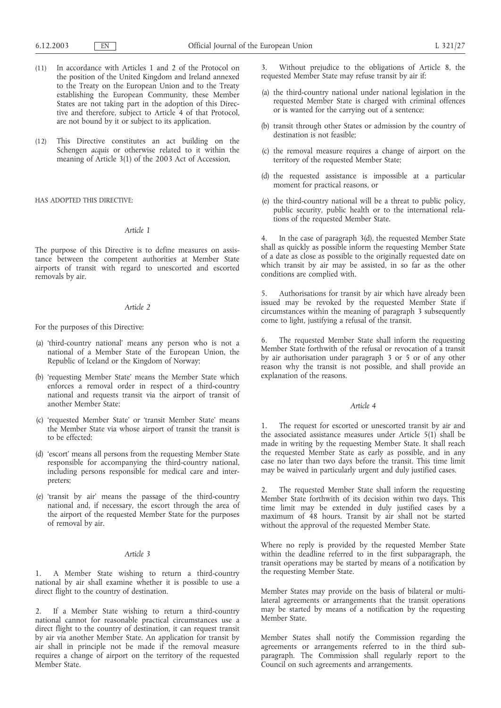- (11) In accordance with Articles 1 and 2 of the Protocol on the position of the United Kingdom and Ireland annexed to the Treaty on the European Union and to the Treaty establishing the European Community, these Member States are not taking part in the adoption of this Directive and therefore, subject to Article 4 of that Protocol, are not bound by it or subject to its application.
- (12) This Directive constitutes an act building on the Schengen *acquis* or otherwise related to it within the meaning of Article 3(1) of the 2003 Act of Accession,

# HAS ADOPTED THIS DIRECTIVE:

### *Article 1*

The purpose of this Directive is to define measures on assistance between the competent authorities at Member State airports of transit with regard to unescorted and escorted removals by air.

## *Article 2*

For the purposes of this Directive:

- (a) 'third-country national' means any person who is not a national of a Member State of the European Union, the Republic of Iceland or the Kingdom of Norway;
- (b) 'requesting Member State' means the Member State which enforces a removal order in respect of a third-country national and requests transit via the airport of transit of another Member State;
- (c) 'requested Member State' or 'transit Member State' means the Member State via whose airport of transit the transit is to be effected;
- (d) 'escort' means all persons from the requesting Member State responsible for accompanying the third-country national, including persons responsible for medical care and interpreters;
- (e) 'transit by air' means the passage of the third-country national and, if necessary, the escort through the area of the airport of the requested Member State for the purposes of removal by air.

## *Article 3*

1. A Member State wishing to return a third-country national by air shall examine whether it is possible to use a direct flight to the country of destination.

2. If a Member State wishing to return a third-country national cannot for reasonable practical circumstances use a direct flight to the country of destination, it can request transit by air via another Member State. An application for transit by air shall in principle not be made if the removal measure requires a change of airport on the territory of the requested Member State.

3. Without prejudice to the obligations of Article 8, the requested Member State may refuse transit by air if:

- (a) the third-country national under national legislation in the requested Member State is charged with criminal offences or is wanted for the carrying out of a sentence;
- (b) transit through other States or admission by the country of destination is not feasible;
- (c) the removal measure requires a change of airport on the territory of the requested Member State;
- (d) the requested assistance is impossible at a particular moment for practical reasons, or
- (e) the third-country national will be a threat to public policy, public security, public health or to the international relations of the requested Member State.

4. In the case of paragraph 3(d), the requested Member State shall as quickly as possible inform the requesting Member State of a date as close as possible to the originally requested date on which transit by air may be assisted, in so far as the other conditions are complied with.

5. Authorisations for transit by air which have already been issued may be revoked by the requested Member State if circumstances within the meaning of paragraph 3 subsequently come to light, justifying a refusal of the transit.

6. The requested Member State shall inform the requesting Member State forthwith of the refusal or revocation of a transit by air authorisation under paragraph 3 or 5 or of any other reason why the transit is not possible, and shall provide an explanation of the reasons.

## *Article 4*

1. The request for escorted or unescorted transit by air and the associated assistance measures under Article 5(1) shall be made in writing by the requesting Member State. It shall reach the requested Member State as early as possible, and in any case no later than two days before the transit. This time limit may be waived in particularly urgent and duly justified cases.

The requested Member State shall inform the requesting Member State forthwith of its decision within two days. This time limit may be extended in duly justified cases by a maximum of 48 hours. Transit by air shall not be started without the approval of the requested Member State.

Where no reply is provided by the requested Member State within the deadline referred to in the first subparagraph, the transit operations may be started by means of a notification by the requesting Member State.

Member States may provide on the basis of bilateral or multilateral agreements or arrangements that the transit operations may be started by means of a notification by the requesting Member State.

Member States shall notify the Commission regarding the agreements or arrangements referred to in the third subparagraph. The Commission shall regularly report to the Council on such agreements and arrangements.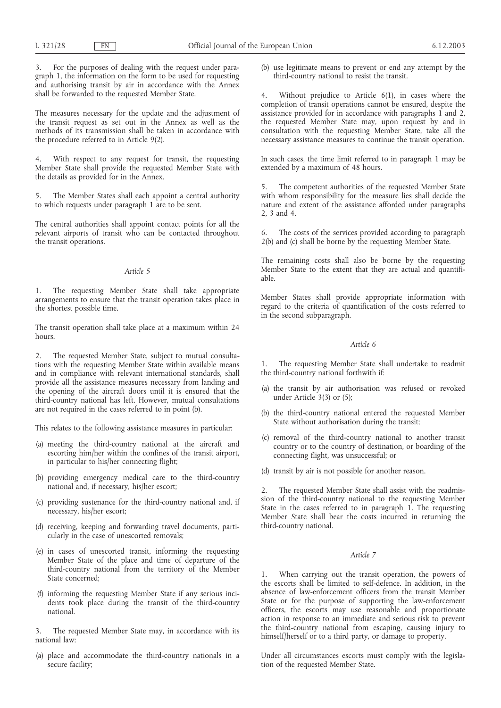3. For the purposes of dealing with the request under paragraph 1, the information on the form to be used for requesting and authorising transit by air in accordance with the Annex shall be forwarded to the requested Member State.

The measures necessary for the update and the adjustment of the transit request as set out in the Annex as well as the methods of its transmission shall be taken in accordance with the procedure referred to in Article 9(2).

4. With respect to any request for transit, the requesting Member State shall provide the requested Member State with the details as provided for in the Annex.

5. The Member States shall each appoint a central authority to which requests under paragraph 1 are to be sent.

The central authorities shall appoint contact points for all the relevant airports of transit who can be contacted throughout the transit operations.

# *Article 5*

1. The requesting Member State shall take appropriate arrangements to ensure that the transit operation takes place in the shortest possible time.

The transit operation shall take place at a maximum within 24 hours.

2. The requested Member State, subject to mutual consultations with the requesting Member State within available means and in compliance with relevant international standards, shall provide all the assistance measures necessary from landing and the opening of the aircraft doors until it is ensured that the third-country national has left. However, mutual consultations are not required in the cases referred to in point (b).

This relates to the following assistance measures in particular:

- (a) meeting the third-country national at the aircraft and escorting him/her within the confines of the transit airport, in particular to his/her connecting flight;
- (b) providing emergency medical care to the third-country national and, if necessary, his/her escort;
- (c) providing sustenance for the third-country national and, if necessary, his/her escort;
- (d) receiving, keeping and forwarding travel documents, particularly in the case of unescorted removals;
- (e) in cases of unescorted transit, informing the requesting Member State of the place and time of departure of the third-country national from the territory of the Member State concerned;
- (f) informing the requesting Member State if any serious incidents took place during the transit of the third-country national.

3. The requested Member State may, in accordance with its national law:

(a) place and accommodate the third-country nationals in a secure facility;

(b) use legitimate means to prevent or end any attempt by the third-country national to resist the transit.

4. Without prejudice to Article 6(1), in cases where the completion of transit operations cannot be ensured, despite the assistance provided for in accordance with paragraphs 1 and 2, the requested Member State may, upon request by and in consultation with the requesting Member State, take all the necessary assistance measures to continue the transit operation.

In such cases, the time limit referred to in paragraph 1 may be extended by a maximum of 48 hours.

5. The competent authorities of the requested Member State with whom responsibility for the measure lies shall decide the nature and extent of the assistance afforded under paragraphs 2, 3 and 4.

6. The costs of the services provided according to paragraph 2(b) and (c) shall be borne by the requesting Member State.

The remaining costs shall also be borne by the requesting Member State to the extent that they are actual and quantifiable.

Member States shall provide appropriate information with regard to the criteria of quantification of the costs referred to in the second subparagraph.

## *Article 6*

1. The requesting Member State shall undertake to readmit the third-country national forthwith if:

- (a) the transit by air authorisation was refused or revoked under Article 3(3) or (5);
- (b) the third-country national entered the requested Member State without authorisation during the transit;
- (c) removal of the third-country national to another transit country or to the country of destination, or boarding of the connecting flight, was unsuccessful; or
- (d) transit by air is not possible for another reason.

2. The requested Member State shall assist with the readmission of the third-country national to the requesting Member State in the cases referred to in paragraph 1. The requesting Member State shall bear the costs incurred in returning the third-country national.

#### *Article 7*

1. When carrying out the transit operation, the powers of the escorts shall be limited to self-defence. In addition, in the absence of law-enforcement officers from the transit Member State or for the purpose of supporting the law-enforcement officers, the escorts may use reasonable and proportionate action in response to an immediate and serious risk to prevent the third-country national from escaping, causing injury to himself/herself or to a third party, or damage to property.

Under all circumstances escorts must comply with the legislation of the requested Member State.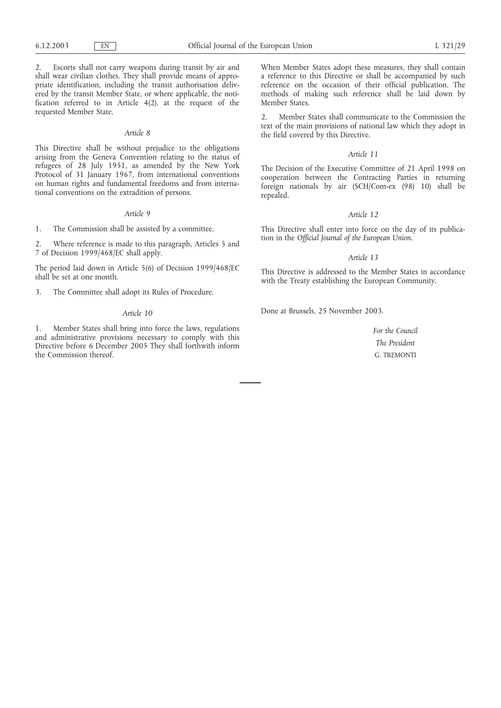2. Escorts shall not carry weapons during transit by air and shall wear civilian clothes. They shall provide means of appropriate identification, including the transit authorisation delivered by the transit Member State, or where applicable, the notification referred to in Article 4(2), at the request of the requested Member State.

## *Article 8*

This Directive shall be without prejudice to the obligations arising from the Geneva Convention relating to the status of refugees of 28 July 1951, as amended by the New York Protocol of 31 January 1967, from international conventions on human rights and fundamental freedoms and from international conventions on the extradition of persons.

#### *Article 9*

1. The Commission shall be assisted by a committee.

2. Where reference is made to this paragraph, Articles 5 and 7 of Decision 1999/468/EC shall apply.

The period laid down in Article 5(6) of Decision 1999/468/EC shall be set at one month.

3. The Committee shall adopt its Rules of Procedure.

# *Article 10*

1. Member States shall bring into force the laws, regulations and administrative provisions necessary to comply with this Directive before 6 December 2005 They shall forthwith inform the Commission thereof.

When Member States adopt these measures, they shall contain a reference to this Directive or shall be accompanied by such reference on the occasion of their official publication. The methods of making such reference shall be laid down by Member States.

2. Member States shall communicate to the Commission the text of the main provisions of national law which they adopt in the field covered by this Directive.

#### *Article 11*

The Decision of the Executive Committee of 21 April 1998 on cooperation between the Contracting Parties in returning foreign nationals by air (SCH/Com-ex (98) 10) shall be repealed.

### *Article 12*

This Directive shall enter into force on the day of its publication in the *Official Journal of the European Union*.

### *Article 13*

This Directive is addressed to the Member States in accordance with the Treaty establishing the European Community.

Done at Brussels, 25 November 2003.

*For the Council The President* G. TREMONTI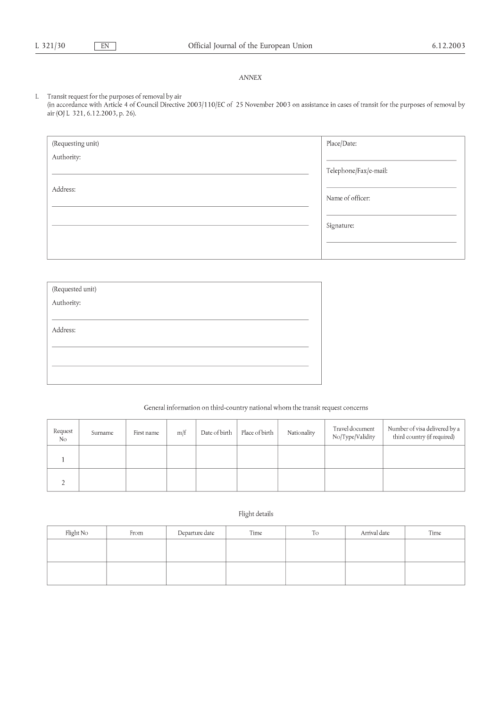## *ANNEX*

I. Transit request for the purposes of removal by air<br>(in accordance with Article 4 of Council Directive 2003/110/EC of 25 November 2003 on assistance in cases of transit for the purposes of removal by air (OJ L 321, 6.12.2003, p. 26).

| (Requesting unit) | Place/Date:           |
|-------------------|-----------------------|
| Authority:        |                       |
|                   | Telephone/Fax/e-mail: |
| Address:          | Name of officer:      |
|                   | Signature:            |
|                   |                       |

| (Requested unit) |  |
|------------------|--|
| Authority:       |  |
|                  |  |
| Address:         |  |
|                  |  |
|                  |  |
|                  |  |
|                  |  |

# General information on third-country national whom the transit request concerns

| Request<br>N <sub>o</sub> | Surname | First name | m/f | Date of birth | Place of birth | Nationality | Travel document<br>No/Type/Validity | Number of visa delivered by a<br>third country (if required) |
|---------------------------|---------|------------|-----|---------------|----------------|-------------|-------------------------------------|--------------------------------------------------------------|
|                           |         |            |     |               |                |             |                                     |                                                              |
|                           |         |            |     |               |                |             |                                     |                                                              |

# Flight details

| Flight No | From | Departure date | Time | To | Arrival date | Time |
|-----------|------|----------------|------|----|--------------|------|
|           |      |                |      |    |              |      |
|           |      |                |      |    |              |      |
|           |      |                |      |    |              |      |
|           |      |                |      |    |              |      |